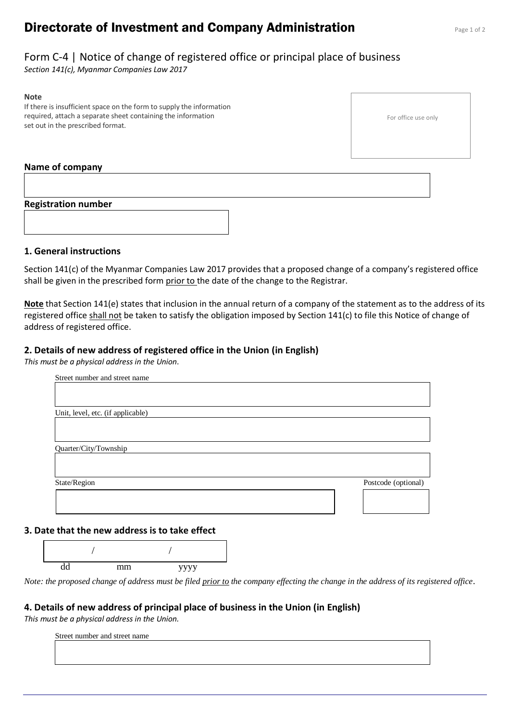# **Directorate of Investment and Company Administration** Page 1 of 2

# Form C-4 | Notice of change of registered office or principal place of business

*Section 141(c), Myanmar Companies Law 2017*

#### **Note**

If there is insufficient space on the form to supply the information required, attach a separate sheet containing the information set out in the prescribed format.

#### For office use only

### **Name of company**

# **Registration number**



## **1. General instructions**

Section 141(c) of the Myanmar Companies Law 2017 provides that a proposed change of a company's registered office shall be given in the prescribed form prior to the date of the change to the Registrar.

**Note** that Section 141(e) states that inclusion in the annual return of a company of the statement as to the address of its registered office shall not be taken to satisfy the obligation imposed by Section 141(c) to file this Notice of change of address of registered office.

# **2. Details of new address of registered office in the Union (in English)**

*This must be a physical address in the Union.*

| Street number and street name     |                     |
|-----------------------------------|---------------------|
|                                   |                     |
|                                   |                     |
| Unit, level, etc. (if applicable) |                     |
|                                   |                     |
| Quarter/City/Township             |                     |
|                                   |                     |
|                                   |                     |
| State/Region                      | Postcode (optional) |
|                                   |                     |
|                                   |                     |

# **3. Date that the new address is to take effect**



*Note: the proposed change of address must be filed prior to the company effecting the change in the address of its registered office.*

#### **4. Details of new address of principal place of business in the Union (in English)**

*This must be a physical address in the Union.*